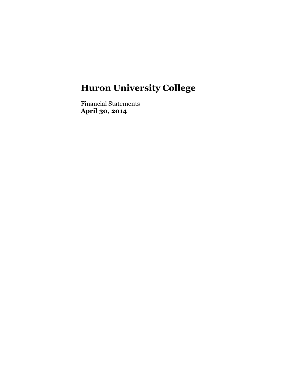Financial Statements **April 30, 2014**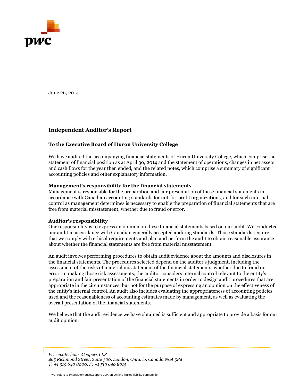

June 26, 2014

#### **Independent Auditor's Report**

#### **To the Executive Board of Huron University College**

We have audited the accompanying financial statements of Huron University College, which comprise the statement of financial position as at April 30, 2014 and the statement of operations, changes in net assets and cash flows for the year then ended, and the related notes, which comprise a summary of significant accounting policies and other explanatory information.

#### **Management's responsibility for the financial statements**

Management is responsible for the preparation and fair presentation of these financial statements in accordance with Canadian accounting standards for not-for-profit organizations, and for such internal control as management determines is necessary to enable the preparation of financial statements that are free from material misstatement, whether due to fraud or error.

#### **Auditor's responsibility**

Our responsibility is to express an opinion on these financial statements based on our audit. We conducted our audit in accordance with Canadian generally accepted auditing standards. Those standards require that we comply with ethical requirements and plan and perform the audit to obtain reasonable assurance about whether the financial statements are free from material misstatement.

An audit involves performing procedures to obtain audit evidence about the amounts and disclosures in the financial statements. The procedures selected depend on the auditor's judgment, including the assessment of the risks of material misstatement of the financial statements, whether due to fraud or error. In making those risk assessments, the auditor considers internal control relevant to the entity's preparation and fair presentation of the financial statements in order to design audit procedures that are appropriate in the circumstances, but not for the purpose of expressing an opinion on the effectiveness of the entity's internal control. An audit also includes evaluating the appropriateness of accounting policies used and the reasonableness of accounting estimates made by management, as well as evaluating the overall presentation of the financial statements.

We believe that the audit evidence we have obtained is sufficient and appropriate to provide a basis for our audit opinion.

"PwC" refers to PricewaterhouseCoopers LLP, an Ontario limited liability partnership. *465 Richmond Street, Suite 300, London, Ontario, Canada N6A 5P4 PricewaterhouseCoopers LLP T: +1 519 640 8000, F: +1 519 640 8015*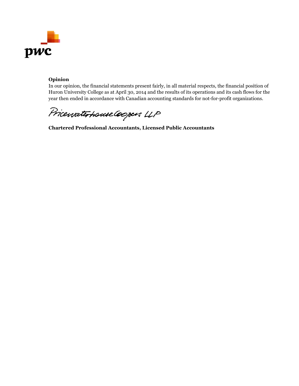

#### **Opinion**

In our opinion, the financial statements present fairly, in all material respects, the financial position of Huron University College as at April 30, 2014 and the results of its operations and its cash flows for the year then ended in accordance with Canadian accounting standards for not-for-profit organizations.

Pricewaterhouse Coopers LLP

**Chartered Professional Accountants, Licensed Public Accountants**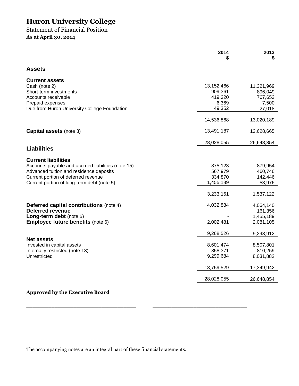Statement of Financial Position **As at April 30, 2014**

|                                                                                                                                                                                                                  | 2014                                            | 2013                                            |
|------------------------------------------------------------------------------------------------------------------------------------------------------------------------------------------------------------------|-------------------------------------------------|-------------------------------------------------|
| <b>Assets</b>                                                                                                                                                                                                    |                                                 |                                                 |
| <b>Current assets</b><br>Cash (note 2)<br>Short-term investments<br>Accounts receivable<br>Prepaid expenses                                                                                                      | 13,152,466<br>909,361<br>419,320<br>6,369       | 11,321,969<br>896,049<br>767,653<br>7,500       |
| Due from Huron University College Foundation                                                                                                                                                                     | 49,352<br>14,536,868                            | 27,018<br>13,020,189                            |
| <b>Capital assets (note 3)</b>                                                                                                                                                                                   | 13,491,187                                      | 13,628,665                                      |
|                                                                                                                                                                                                                  | 28,028,055                                      | 26,648,854                                      |
| <b>Liabilities</b>                                                                                                                                                                                               |                                                 |                                                 |
| <b>Current liabilities</b><br>Accounts payable and accrued liabilities (note 15)<br>Advanced tuition and residence deposits<br>Current portion of deferred revenue<br>Current portion of long-term debt (note 5) | 875,123<br>567,979<br>334,870<br>1,455,189      | 879,954<br>460,746<br>142,446<br>53,976         |
|                                                                                                                                                                                                                  | 3,233,161                                       | 1,537,122                                       |
| <b>Deferred capital contributions (note 4)</b><br><b>Deferred revenue</b><br>Long-term debt (note 5)<br><b>Employee future benefits (note 6)</b>                                                                 | 4,032,884<br>2,002,481                          | 4,064,140<br>161,356<br>1,455,189<br>2,081,105  |
|                                                                                                                                                                                                                  | 9,268,526                                       | 9,298,912                                       |
| <b>Net assets</b><br>Invested in capital assets<br>Internally restricted (note 13)<br>Unrestricted                                                                                                               | 8,601,474<br>858,371<br>9,299,684<br>18,759,529 | 8,507,801<br>810,259<br>8,031,882<br>17,349,942 |
|                                                                                                                                                                                                                  | 28,028,055                                      | 26,648,854                                      |

## **Approved by the Executive Board**

The accompanying notes are an integral part of these financial statements.

 $\_$  , and the state of the state of the state of the state of the state of the state of the state of the state of the state of the state of the state of the state of the state of the state of the state of the state of the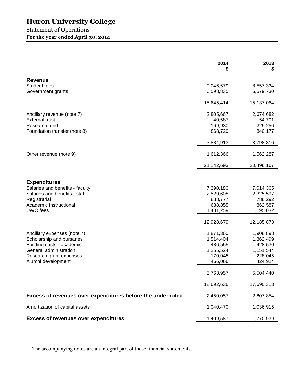## Statement of Operations **For the year ended April 30, 2014**

|                                                            | 2014                   | 2013<br>\$             |
|------------------------------------------------------------|------------------------|------------------------|
| <b>Revenue</b>                                             |                        |                        |
| Student fees<br>Government grants                          | 9,046,579<br>6,598,835 | 8,557,334<br>6,579,730 |
|                                                            | 15,645,414             | 15,137,064             |
| Ancillary revenue (note 7)<br><b>External trust</b>        | 2,805,667<br>40,587    | 2,674,682<br>54,701    |
| Research fund<br>Foundation transfer (note 8)              | 169,930<br>868,729     | 229,256<br>840,177     |
|                                                            | 3,884,913              | 3,798,816              |
| Other revenue (note 9)                                     | 1,612,366              | 1,562,287              |
|                                                            | 21,142,693             | 20,498,167             |
|                                                            |                        |                        |
| <b>Expenditures</b><br>Salaries and benefits - faculty     | 7,390,180              | 7,014,365              |
| Salaries and benefits - staff<br>Registrarial              | 2,529,608<br>888,777   | 2,325,597<br>788,292   |
| Academic instructional<br>UWO fees                         | 638,855<br>1,481,259   | 862,587<br>1,195,032   |
|                                                            | 12,928,679             | 12,185,873             |
| Ancillary expenses (note 7)                                | 1,871,360              | 1,908,898              |
| Scholarship and bursaries<br>Building costs - academic     | 1,514,404<br>486,555   | 1,362,499<br>428,530   |
| General administration                                     | 1,255,524              | 1,151,544              |
| Research grant expenses<br>Alumni development              | 170,048<br>466,066     | 228,045<br>424,924     |
|                                                            | 5,763,957              | 5,504,440              |
|                                                            | 18,692,636             | 17,690,313             |
| Excess of revenues over expenditures before the undernoted | 2,450,057              | 2,807,854              |
| Amortization of capital assets                             | 1,040,470              | 1,036,915              |
| <b>Excess of revenues over expenditures</b>                | 1,409,587              | 1,770,939              |

The accompanying notes are an integral part of these financial statements.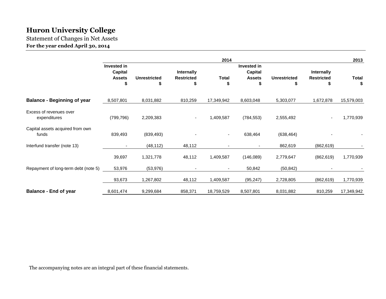Statement of Changes in Net Assets **For the year ended April 30, 2014**

|                                           |                                                      |                           |                                              | 2014                     |                                                      |                           |                                              | 2013               |
|-------------------------------------------|------------------------------------------------------|---------------------------|----------------------------------------------|--------------------------|------------------------------------------------------|---------------------------|----------------------------------------------|--------------------|
|                                           | Invested in<br><b>Capital</b><br><b>Assets</b><br>\$ | <b>Unrestricted</b><br>\$ | <b>Internally</b><br><b>Restricted</b><br>\$ | <b>Total</b><br>\$       | Invested in<br><b>Capital</b><br><b>Assets</b><br>\$ | <b>Unrestricted</b><br>\$ | <b>Internally</b><br><b>Restricted</b><br>\$ | <b>Total</b><br>\$ |
| <b>Balance - Beginning of year</b>        | 8,507,801                                            | 8,031,882                 | 810,259                                      | 17,349,942               | 8,603,048                                            | 5,303,077                 | 1,672,878                                    | 15,579,003         |
| Excess of revenues over<br>expenditures   | (799, 796)                                           | 2,209,383                 | $\blacksquare$                               | 1,409,587                | (784, 553)                                           | 2,555,492                 | $\blacksquare$                               | 1,770,939          |
| Capital assets acquired from own<br>funds | 839,493                                              | (839, 493)                |                                              | $\overline{\phantom{a}}$ | 638,464                                              | (638, 464)                |                                              |                    |
| Interfund transfer (note 13)              | $\sim$                                               | (48, 112)                 | 48,112                                       |                          | ٠                                                    | 862,619                   | (862, 619)                                   |                    |
|                                           | 39,697                                               | 1,321,778                 | 48,112                                       | 1,409,587                | (146,089)                                            | 2,779,647                 | (862, 619)                                   | 1,770,939          |
| Repayment of long-term debt (note 5)      | 53,976                                               | (53, 976)                 |                                              |                          | 50,842                                               | (50, 842)                 |                                              |                    |
|                                           | 93,673                                               | 1,267,802                 | 48,112                                       | 1,409,587                | (95, 247)                                            | 2,728,805                 | (862, 619)                                   | 1,770,939          |
| <b>Balance - End of year</b>              | 8,601,474                                            | 9,299,684                 | 858,371                                      | 18,759,529               | 8,507,801                                            | 8,031,882                 | 810,259                                      | 17,349,942         |

The accompanying notes are an integral part of these financial statements.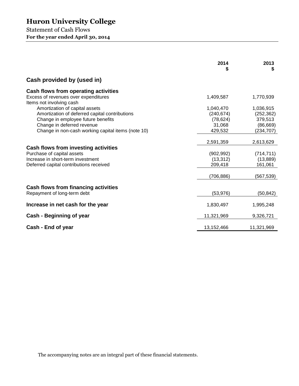Statement of Cash Flows **For the year ended April 30, 2014**

|                                                                                                                                                                                                            | 2014<br>\$                                                    | 2013<br>S                                                    |
|------------------------------------------------------------------------------------------------------------------------------------------------------------------------------------------------------------|---------------------------------------------------------------|--------------------------------------------------------------|
| Cash provided by (used in)                                                                                                                                                                                 |                                                               |                                                              |
| Cash flows from operating activities<br>Excess of revenues over expenditures<br>Items not involving cash                                                                                                   | 1,409,587                                                     | 1,770,939                                                    |
| Amortization of capital assets<br>Amortization of deferred capital contributions<br>Change in employee future benefits<br>Change in deferred revenue<br>Change in non-cash working capital items (note 10) | 1,040,470<br>(240, 674)<br>(78, 624)<br>31,068<br>429,532     | 1,036,915<br>(252, 362)<br>379,513<br>(86, 669)<br>(234,707) |
| Cash flows from investing activities<br>Purchase of capital assets<br>Increase in short-term investment<br>Deferred capital contributions received                                                         | 2,591,359<br>(902, 992)<br>(13, 312)<br>209,418<br>(706, 886) | 2,613,629<br>(714, 711)<br>(13, 889)<br>161,061<br>(567,539) |
| Cash flows from financing activities<br>Repayment of long-term debt                                                                                                                                        | (53, 976)                                                     | (50, 842)                                                    |
| Increase in net cash for the year                                                                                                                                                                          | 1,830,497                                                     | 1,995,248                                                    |
| Cash - Beginning of year                                                                                                                                                                                   | 11,321,969                                                    | 9,326,721                                                    |
| Cash - End of year                                                                                                                                                                                         | 13,152,466                                                    | 11,321,969                                                   |

The accompanying notes are an integral part of these financial statements.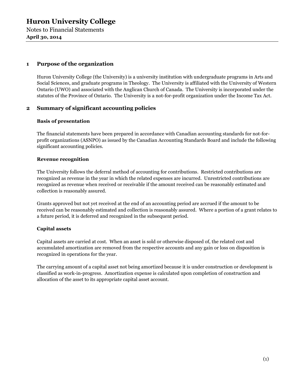Notes to Financial Statements **April 30, 2014**

## **1 Purpose of the organization**

Huron University College (the University) is a university institution with undergraduate programs in Arts and Social Sciences, and graduate programs in Theology. The University is affiliated with the University of Western Ontario (UWO) and associated with the Anglican Church of Canada. The University is incorporated under the statutes of the Province of Ontario. The University is a not-for-profit organization under the Income Tax Act.

## **2 Summary of significant accounting policies**

#### **Basis of presentation**

The financial statements have been prepared in accordance with Canadian accounting standards for not-forprofit organizations (ASNPO) as issued by the Canadian Accounting Standards Board and include the following significant accounting policies.

#### **Revenue recognition**

The University follows the deferral method of accounting for contributions. Restricted contributions are recognized as revenue in the year in which the related expenses are incurred. Unrestricted contributions are recognized as revenue when received or receivable if the amount received can be reasonably estimated and collection is reasonably assured.

Grants approved but not yet received at the end of an accounting period are accrued if the amount to be received can be reasonably estimated and collection is reasonably assured. Where a portion of a grant relates to a future period, it is deferred and recognized in the subsequent period.

#### **Capital assets**

Capital assets are carried at cost. When an asset is sold or otherwise disposed of, the related cost and accumulated amortization are removed from the respective accounts and any gain or loss on disposition is recognized in operations for the year.

The carrying amount of a capital asset not being amortized because it is under construction or development is classified as work-in-progress. Amortization expense is calculated upon completion of construction and allocation of the asset to its appropriate capital asset account.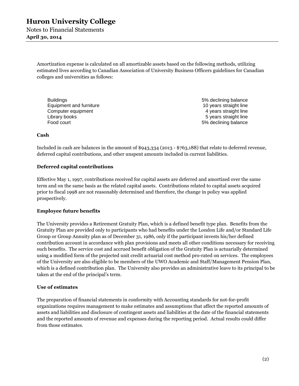> Amortization expense is calculated on all amortizable assets based on the following methods, utilizing estimated lives according to Canadian Association of University Business Officers guidelines for Canadian colleges and universities as follows:

Buildings **5% declining balance** Equipment and furniture 10 years straight line Computer equipment **4** years straight line Library books **5** years straight line Food court **Food court** 6 and the set of the set of the set of the set of the set of the set of the set of the set of the set of the set of the set of the set of the set of the set of the set of the set of the set of the s

#### **Cash**

Included in cash are balances in the amount of \$943,334 (2013 - \$763,188) that relate to deferred revenue, deferred capital contributions, and other unspent amounts included in current liabilities.

#### **Deferred capital contributions**

Effective May 1, 1997, contributions received for capital assets are deferred and amortized over the same term and on the same basis as the related capital assets. Contributions related to capital assets acquired prior to fiscal 1998 are not reasonably determined and therefore, the change in policy was applied prospectively.

#### **Employee future benefits**

The University provides a Retirement Gratuity Plan, which is a defined benefit type plan. Benefits from the Gratuity Plan are provided only to participants who had benefits under the London Life and/or Standard Life Group or Group Annuity plan as of December 31, 1986, only if the participant invests his/her defined contribution account in accordance with plan provisions and meets all other conditions necessary for receiving such benefits. The service cost and accrued benefit obligation of the Gratuity Plan is actuarially determined using a modified form of the projected unit credit actuarial cost method pro-rated on services. The employees of the University are also eligible to be members of the UWO Academic and Staff/Management Pension Plan, which is a defined contribution plan. The University also provides an administrative leave to its principal to be taken at the end of the principal's term.

#### **Use of estimates**

The preparation of financial statements in conformity with Accounting standards for not-for-profit organizations requires management to make estimates and assumptions that affect the reported amounts of assets and liabilities and disclosure of contingent assets and liabilities at the date of the financial statements and the reported amounts of revenue and expenses during the reporting period. Actual results could differ from those estimates.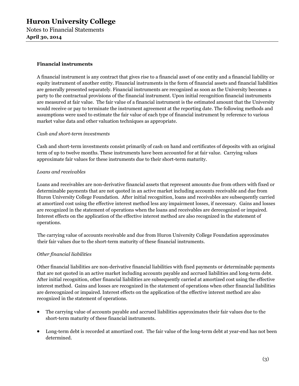Notes to Financial Statements **April 30, 2014**

#### **Financial instruments**

A financial instrument is any contract that gives rise to a financial asset of one entity and a financial liability or equity instrument of another entity. Financial instruments in the form of financial assets and financial liabilities are generally presented separately. Financial instruments are recognized as soon as the University becomes a party to the contractual provisions of the financial instrument. Upon initial recognition financial instruments are measured at fair value. The fair value of a financial instrument is the estimated amount that the University would receive or pay to terminate the instrument agreement at the reporting date. The following methods and assumptions were used to estimate the fair value of each type of financial instrument by reference to various market value data and other valuation techniques as appropriate.

#### *Cash and short-term investments*

Cash and short-term investments consist primarily of cash on hand and certificates of deposits with an original term of up to twelve months. These instruments have been accounted for at fair value. Carrying values approximate fair values for these instruments due to their short-term maturity.

#### *Loans and receivables*

Loans and receivables are non-derivative financial assets that represent amounts due from others with fixed or determinable payments that are not quoted in an active market including accounts receivable and due from Huron University College Foundation. After initial recognition, loans and receivables are subsequently carried at amortized cost using the effective interest method less any impairment losses, if necessary. Gains and losses are recognized in the statement of operations when the loans and receivables are derecognized or impaired. Interest effects on the application of the effective interest method are also recognized in the statement of operations.

The carrying value of accounts receivable and due from Huron University College Foundation approximates their fair values due to the short-term maturity of these financial instruments.

#### *Other financial liabilities*

Other financial liabilities are non-derivative financial liabilities with fixed payments or determinable payments that are not quoted in an active market including accounts payable and accrued liabilities and long-term debt. After initial recognition, other financial liabilities are subsequently carried at amortized cost using the effective interest method. Gains and losses are recognized in the statement of operations when other financial liabilities are derecognized or impaired. Interest effects on the application of the effective interest method are also recognized in the statement of operations.

- The carrying value of accounts payable and accrued liabilities approximates their fair values due to the short-term maturity of these financial instruments.
- Long-term debt is recorded at amortized cost. The fair value of the long-term debt at year-end has not been determined.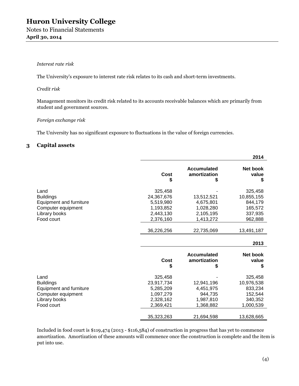#### *Interest rate risk*

The University's exposure to interest rate risk relates to its cash and short-term investments.

#### *Credit risk*

Management monitors its credit risk related to its accounts receivable balances which are primarily from student and government sources.

#### *Foreign exchange risk*

The University has no significant exposure to fluctuations in the value of foreign currencies*.*

#### **3 Capital assets**

|                                |            |                                          | 2014                    |
|--------------------------------|------------|------------------------------------------|-------------------------|
|                                | Cost<br>S  | <b>Accumulated</b><br>amortization<br>\$ | Net book<br>value<br>S  |
| Land                           | 325,458    |                                          | 325,458                 |
| <b>Buildings</b>               | 24,367,676 | 13,512,521                               | 10,855,155              |
| <b>Equipment and furniture</b> | 5,519,980  | 4,675,801                                | 844,179                 |
| Computer equipment             | 1,193,852  | 1,028,280                                | 165,572                 |
| Library books                  | 2,443,130  | 2,105,195                                | 337,935                 |
| Food court                     | 2,376,160  | 1,413,272                                | 962,888                 |
|                                | 36,226,256 | 22,735,069                               | 13,491,187              |
|                                |            |                                          | 2013                    |
|                                | Cost<br>\$ | <b>Accumulated</b><br>amortization<br>S  | Net book<br>value<br>\$ |
| Land                           | 325,458    |                                          | 325,458                 |
| <b>Buildings</b>               | 23,917,734 | 12,941,196                               | 10,976,538              |
| <b>Equipment and furniture</b> | 5,285,209  | 4,451,975                                | 833,234                 |
| Computer equipment             | 1,097,279  | 944,735                                  | 152,544                 |
| Library books                  | 2,328,162  | 1,987,810                                | 340,352                 |
| Food court                     | 2,369,421  | 1,368,882                                | 1,000,539               |
|                                | 35,323,263 | 21,694,598                               | 13,628,665              |

Included in food court is \$119,474 (2013 - \$116,584) of construction in progress that has yet to commence amortization. Amortization of these amounts will commence once the construction is complete and the item is put into use.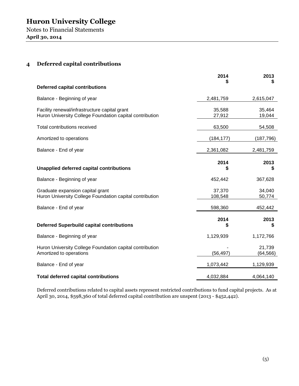## **4 Deferred capital contributions**

|                                                                                                           | 2014              | 2013<br>\$          |
|-----------------------------------------------------------------------------------------------------------|-------------------|---------------------|
| <b>Deferred capital contributions</b>                                                                     |                   |                     |
| Balance - Beginning of year                                                                               | 2,481,759         | 2,615,047           |
| Facility renewal/infrastructure capital grant<br>Huron University College Foundation capital contribution | 35,588<br>27,912  | 35,464<br>19,044    |
| Total contributions received                                                                              | 63,500            | 54,508              |
| Amortized to operations                                                                                   | (184, 177)        | (187, 796)          |
| Balance - End of year                                                                                     | 2,361,082         | 2,481,759           |
| <b>Unapplied deferred capital contributions</b>                                                           | 2014<br>\$        | 2013<br>S           |
| Balance - Beginning of year                                                                               | 452,442           | 367,628             |
| Graduate expansion capital grant<br>Huron University College Foundation capital contribution              | 37,370<br>108,548 | 34,040<br>50,774    |
| Balance - End of year                                                                                     | 598,360           | 452,442             |
| <b>Deferred Superbuild capital contributions</b>                                                          | 2014<br>S         | 2013<br>S           |
| Balance - Beginning of year                                                                               | 1,129,939         | 1,172,766           |
| Huron University College Foundation capital contribution<br>Amortized to operations                       | (56, 497)         | 21,739<br>(64, 566) |
| Balance - End of year                                                                                     | 1,073,442         | 1,129,939           |
| <b>Total deferred capital contributions</b>                                                               | 4,032,884         | 4,064,140           |

Deferred contributions related to capital assets represent restricted contributions to fund capital projects. As at April 30, 2014, \$598,360 of total deferred capital contribution are unspent (2013 - \$452,442).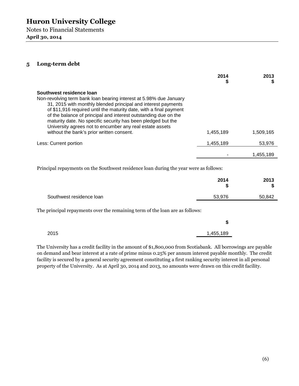#### **5 Long-term debt**

|                                                                                                                                                                                                                                                                                                                                                                                                                                                                                   | 2014<br>S | 2013      |
|-----------------------------------------------------------------------------------------------------------------------------------------------------------------------------------------------------------------------------------------------------------------------------------------------------------------------------------------------------------------------------------------------------------------------------------------------------------------------------------|-----------|-----------|
| Southwest residence loan<br>Non-revolving term bank loan bearing interest at 5.98% due January<br>31, 2015 with monthly blended principal and interest payments<br>of \$11,916 required until the maturity date, with a final payment<br>of the balance of principal and interest outstanding due on the<br>maturity date. No specific security has been pledged but the<br>University agrees not to encumber any real estate assets<br>without the bank's prior written consent. | 1,455,189 | 1,509,165 |
| Less: Current portion                                                                                                                                                                                                                                                                                                                                                                                                                                                             | 1,455,189 | 53,976    |
|                                                                                                                                                                                                                                                                                                                                                                                                                                                                                   |           | 1,455,189 |

Principal repayments on the Southwest residence loan during the year were as follows:

|                          | 2014   | 2013<br>æ<br>D |
|--------------------------|--------|----------------|
| Southwest residence loan | 53,976 | 50,842         |

The principal repayments over the remaining term of the loan are as follows:

|      | œ<br>Ð    |
|------|-----------|
| 2015 | 1,455,189 |

The University has a credit facility in the amount of \$1,800,000 from Scotiabank. All borrowings are payable on demand and bear interest at a rate of prime minus 0.25% per annum interest payable monthly. The credit facility is secured by a general security agreement constituting a first ranking security interest in all personal property of the University. As at April 30, 2014 and 2013, no amounts were drawn on this credit facility.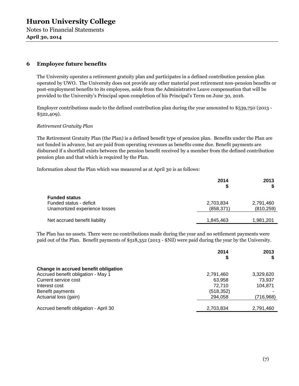**April 30, 2014**

## **6 Employee future benefits**

The University operates a retirement gratuity plan and participates in a defined contribution pension plan operated by UWO. The University does not provide any other material post retirement non-pension benefits or post-employment benefits to its employees, aside from the Administrative Leave compensation that will be provided to the University's Principal upon completion of his Principal's Term on June 30, 2016.

Employer contributions made to the defined contribution plan during the year amounted to \$539,750 (2013 - \$522,409).

#### *Retirement Gratuity Plan*

The Retirement Gratuity Plan (the Plan) is a defined benefit type of pension plan. Benefits under the Plan are not funded in advance, but are paid from operating revenues as benefits come due. Benefit payments are disbursed if a shortfall exists between the pension benefit received by a member from the defined contribution pension plan and that which is required by the Plan.

Information about the Plan which was measured as at April 30 is as follows:

|                                                                                  | 2014<br>S               | 2013                    |
|----------------------------------------------------------------------------------|-------------------------|-------------------------|
| <b>Funded status</b><br>Funded status - deficit<br>Unamortized experience losses | 2,703,834<br>(858, 371) | 2,791,460<br>(810, 259) |
| Net accrued benefit liability                                                    | 1,845,463               | 1,981,201               |

The Plan has no assets. There were no contributions made during the year and no settlement payments were paid out of the Plan. Benefit payments of \$518,352 (2013 - \$Nil) were paid during the year by the University.

|                                       | 2014<br>Φ  | 2013      |
|---------------------------------------|------------|-----------|
| Change in accrued benefit obligation  |            |           |
| Accrued benefit obligation - May 1    | 2,791,460  | 3,329,620 |
| Current service cost                  | 63,958     | 73,937    |
| Interest cost                         | 72.710     | 104.871   |
| Benefit payments                      | (518, 352) |           |
| Actuarial loss (gain)                 | 294.058    | (716,968) |
| Accrued benefit obligation - April 30 | 2,703,834  | 2,791,460 |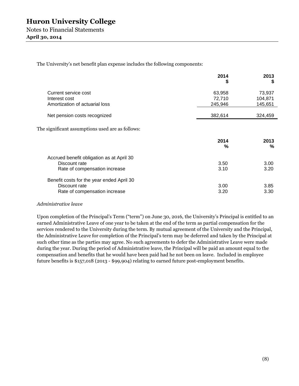The University's net benefit plan expense includes the following components:

|                                                            | 2014<br>\$            | 2013<br>\$ |
|------------------------------------------------------------|-----------------------|------------|
| Current service cost                                       | 63,958                | 73,937     |
| Interest cost                                              | 72,710                | 104,871    |
| Amortization of actuarial loss                             | 245,946               | 145,651    |
| Net pension costs recognized                               | 382,614               | 324,459    |
| The significant assumptions used are as follows:           | 2014<br>$\frac{0}{0}$ | 2013<br>%  |
|                                                            |                       |            |
| Accrued benefit obligation as at April 30<br>Discount rate | 3.50                  | 3.00       |
| Rate of compensation increase                              | 3.10                  | 3.20       |
| Benefit costs for the year ended April 30                  |                       |            |
| Discount rate                                              | 3.00                  | 3.85       |
| Rate of compensation increase                              | 3.20                  | 3.30       |
|                                                            |                       |            |

#### *Administrative leave*

Upon completion of the Principal's Term ("term") on June 30, 2016, the University's Principal is entitled to an earned Administrative Leave of one year to be taken at the end of the term as partial compensation for the services rendered to the University during the term. By mutual agreement of the University and the Principal, the Administrative Leave for completion of the Principal's term may be deferred and taken by the Principal at such other time as the parties may agree. No such agreements to defer the Administrative Leave were made during the year. During the period of Administrative leave, the Principal will be paid an amount equal to the compensation and benefits that he would have been paid had he not been on leave. Included in employee future benefits is \$157,018 (2013 - \$99,904) relating to earned future post-employment benefits.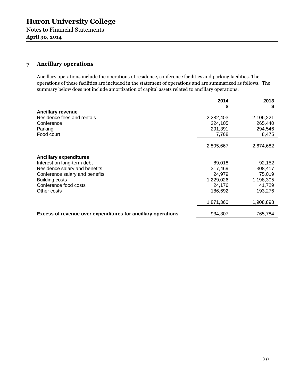## **7 Ancillary operations**

Ancillary operations include the operations of residence, conference facilities and parking facilities. The operations of these facilities are included in the statement of operations and are summarized as follows. The summary below does not include amortization of capital assets related to ancillary operations.

|                                                              | 2014<br>\$ | 2013<br>S |
|--------------------------------------------------------------|------------|-----------|
| <b>Ancillary revenue</b>                                     |            |           |
| Residence fees and rentals                                   | 2,282,403  | 2,106,221 |
| Conference                                                   | 224,105    | 265,440   |
| Parking                                                      | 291,391    | 294,546   |
| Food court                                                   | 7,768      | 8,475     |
|                                                              |            |           |
|                                                              | 2,805,667  | 2,674,682 |
| <b>Ancillary expenditures</b>                                |            |           |
| Interest on long-term debt                                   | 89,018     | 92,152    |
| Residence salary and benefits                                | 317,469    | 308,417   |
| Conference salary and benefits                               | 24,979     | 75.019    |
| <b>Building costs</b>                                        | 1,229,026  | 1,198,305 |
| Conference food costs                                        | 24,176     | 41,729    |
| Other costs                                                  | 186,692    | 193,276   |
|                                                              | 1,871,360  | 1,908,898 |
| Excess of revenue over expenditures for ancillary operations | 934,307    | 765,784   |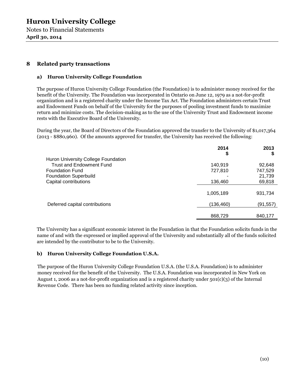Notes to Financial Statements **April 30, 2014**

## **8 Related party transactions**

#### **a) Huron University College Foundation**

The purpose of Huron University College Foundation (the Foundation) is to administer money received for the benefit of the University. The Foundation was incorporated in Ontario on June 12, 1979 as a not-for-profit organization and is a registered charity under the Income Tax Act. The Foundation administers certain Trust and Endowment Funds on behalf of the University for the purposes of pooling investment funds to maximize return and minimize costs. The decision-making as to the use of the University Trust and Endowment income rests with the Executive Board of the University.

During the year, the Board of Directors of the Foundation approved the transfer to the University of \$1,017,364 (2013 - \$880,960). Of the amounts approved for transfer, the University has received the following:

|                                     | 2014<br>\$ | 2013<br>S |
|-------------------------------------|------------|-----------|
| Huron University College Foundation |            |           |
| <b>Trust and Endowment Fund</b>     | 140,919    | 92,648    |
| <b>Foundation Fund</b>              | 727,810    | 747,529   |
| <b>Foundation Superbuild</b>        |            | 21,739    |
| Capital contributions               | 136,460    | 69,818    |
|                                     | 1,005,189  | 931,734   |
| Deferred capital contributions      | (136,460)  | (91, 557) |
|                                     | 868,729    | 840,177   |

The University has a significant economic interest in the Foundation in that the Foundation solicits funds in the name of and with the expressed or implied approval of the University and substantially all of the funds solicited are intended by the contributor to be to the University.

#### **b) Huron University College Foundation U.S.A.**

The purpose of the Huron University College Foundation U.S.A. (the U.S.A. Foundation) is to administer money received for the benefit of the University. The U.S.A. Foundation was incorporated in New York on August 1, 2006 as a not-for-profit organization and is a registered charity under 501(c)(3) of the Internal Revenue Code. There has been no funding related activity since inception.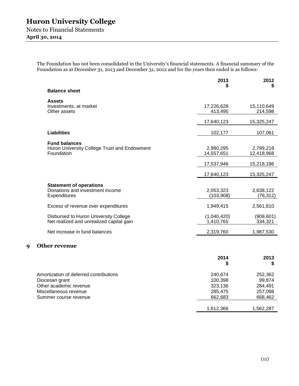**April 30, 2014**

The Foundation has not been consolidated in the University's financial statements. A financial summary of the Foundation as at December 31, 2013 and December 31, 2012 and for the years then ended is as follows:

|                  |                                                                                    | 2013                     | 2012<br>S               |
|------------------|------------------------------------------------------------------------------------|--------------------------|-------------------------|
|                  | <b>Balance sheet</b>                                                               |                          |                         |
|                  | <b>Assets</b><br>Investments, at market<br>Other assets                            | 17,226,628<br>413,495    | 15,110,649<br>214,598   |
|                  |                                                                                    | 17,640,123               | 15,325,247              |
|                  | <b>Liabilities</b>                                                                 | 102,177                  | 107,061                 |
|                  | <b>Fund balances</b><br>Huron University College Trust and Endowment<br>Foundation | 2,980,295<br>14,557,651  | 2,799,218<br>12,418,968 |
|                  |                                                                                    | 17,537,946               | 15,218,186              |
|                  |                                                                                    | 17,640,123               | 15,325,247              |
|                  | <b>Statement of operations</b><br>Donations and investment income<br>Expenditures  | 2,053,323<br>(103,908)   | 2,638,122<br>(76, 312)  |
|                  | Excess of revenue over expenditures                                                | 1,949,415                | 2,561,810               |
|                  | Disbursed to Huron University College<br>Net realized and unrealized capital gain  | (1,040,420)<br>1,410,765 | (908, 601)<br>334,321   |
|                  | Net increase in fund balances                                                      | 2,319,760                | 1,987,530               |
| $\boldsymbol{q}$ | <b>Other revenue</b>                                                               |                          |                         |
|                  |                                                                                    | 2014<br>\$               | 2013<br>\$              |
|                  | Amortization of deferred contributions                                             | 240,674                  | 252,362                 |

Diocesan grant 100,398 99,874 Other academic revenue 323,136 284,491<br>Miscellaneous revenue 323,136 285,475 257,098 Miscellaneous revenue 285,475 257,098<br>
285,475 257,098 257,098 268,462 265,475 257,098 268,462 Summer course revenue

1,612,366 1,562,287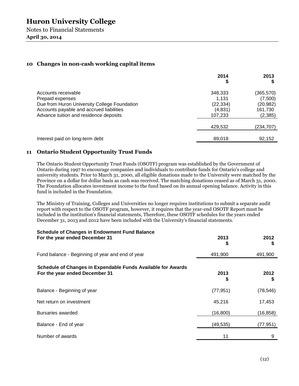**April 30, 2014**

#### **10 Changes in non-cash working capital items**

|                                                                                                                                                                               | 2014                                               | 2013                                                     |
|-------------------------------------------------------------------------------------------------------------------------------------------------------------------------------|----------------------------------------------------|----------------------------------------------------------|
| Accounts receivable<br>Prepaid expenses<br>Due from Huron University College Foundation<br>Accounts payable and accrued liabilities<br>Advance tuition and residence deposits | 348,333<br>1,131<br>(22,334)<br>(4,831)<br>107,233 | (365,570)<br>(7,500)<br>(20, 982)<br>161,730<br>(2, 385) |
|                                                                                                                                                                               | 429,532                                            | (234,707)                                                |
| Interest paid on long-term debt                                                                                                                                               | 89,018                                             | 92,152                                                   |

#### **11 Ontario Student Opportunity Trust Funds**

The Ontario Student Opportunity Trust Funds (OSOTF) program was established by the Government of Ontario during 1997 to encourage companies and individuals to contribute funds for Ontario's college and university students. Prior to March 31, 2000, all eligible donations made to the University were matched by the Province on a dollar for dollar basis as cash was received. The matching donations ceased as of March 31, 2000. The Foundation allocates investment income to the fund based on its annual opening balance. Activity in this fund is included in the Foundation.

The Ministry of Training, Colleges and Universities no longer requires institutions to submit a separate audit report with respect to the OSOTF program, however, it requires that the year-end OSOTF Report must be included in the institution's financial statements, Therefore, these OSOTF schedules for the years ended December 31, 2013 and 2012 have been included with the University's financial statements.

| <b>Schedule of Changes in Endowment Fund Balance</b><br>For the year ended December 31         | 2013<br>5  | 2012<br>\$ |
|------------------------------------------------------------------------------------------------|------------|------------|
| Fund balance - Beginning of year and end of year                                               | 491,900    | 491,900    |
| Schedule of Changes in Expendable Funds Available for Awards<br>For the year ended December 31 | 2013<br>\$ | 2012<br>S  |
| Balance - Beginning of year                                                                    | (77, 951)  | (78, 546)  |
| Net return on investment                                                                       | 45,216     | 17,453     |
| Bursaries awarded                                                                              | (16, 800)  | (16, 858)  |
| Balance - End of year                                                                          | (49, 535)  | (77, 951)  |
| Number of awards                                                                               | 11         | 9          |